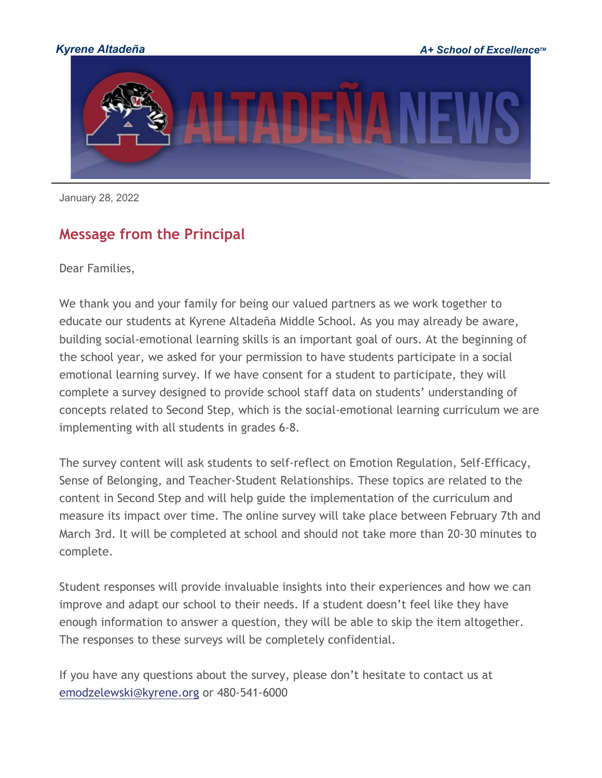

January 28, 2022

# **Message from the Principal**

Dear Families,

We thank you and your family for being our valued partners as we work together to educate our students at Kyrene Altadeña Middle School. As you may already be aware, building social-emotional learning skills is an important goal of ours. At the beginning of the school year, we asked for your permission to have students participate in a social emotional learning survey. If we have consent for a student to participate, they will complete a survey designed to provide school staff data on students' understanding of concepts related to Second Step, which is the social-emotional learning curriculum we are implementing with all students in grades 6-8.

The survey content will ask students to self-reflect on Emotion Regulation, Self-Efficacy, Sense of Belonging, and Teacher-Student Relationships. These topics are related to the content in Second Step and will help guide the implementation of the curriculum and measure its impact over time. The online survey will take place between February 7th and March 3rd. It will be completed at school and should not take more than 20-30 minutes to complete.

Student responses will provide invaluable insights into their experiences and how we can improve and adapt our school to their needs. If a student doesn't feel like they have enough information to answer a question, they will be able to skip the item altogether. The responses to these surveys will be completely confidential.

If you have any questions about the survey, please don't hesitate to contact us at [emodzelewski@kyrene.org](mailto:emodzelewski@kyrene.org) or 480-541-6000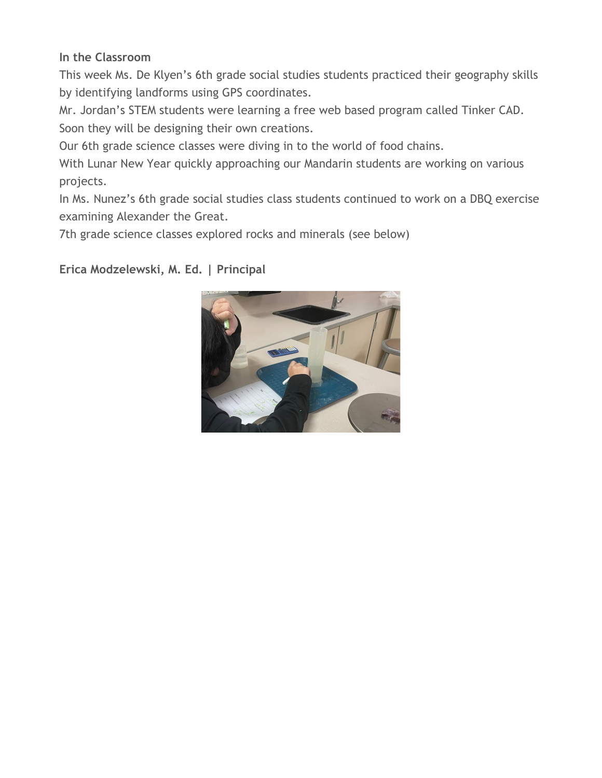#### **In the Classroom**

This week Ms. De Klyen's 6th grade social studies students practiced their geography skills by identifying landforms using GPS coordinates.

Mr. Jordan's STEM students were learning a free web based program called Tinker CAD. Soon they will be designing their own creations.

Our 6th grade science classes were diving in to the world of food chains.

With Lunar New Year quickly approaching our Mandarin students are working on various projects.

In Ms. Nunez's 6th grade social studies class students continued to work on a DBQ exercise examining Alexander the Great.

7th grade science classes explored rocks and minerals (see below)

**Erica Modzelewski, M. Ed. | Principal**

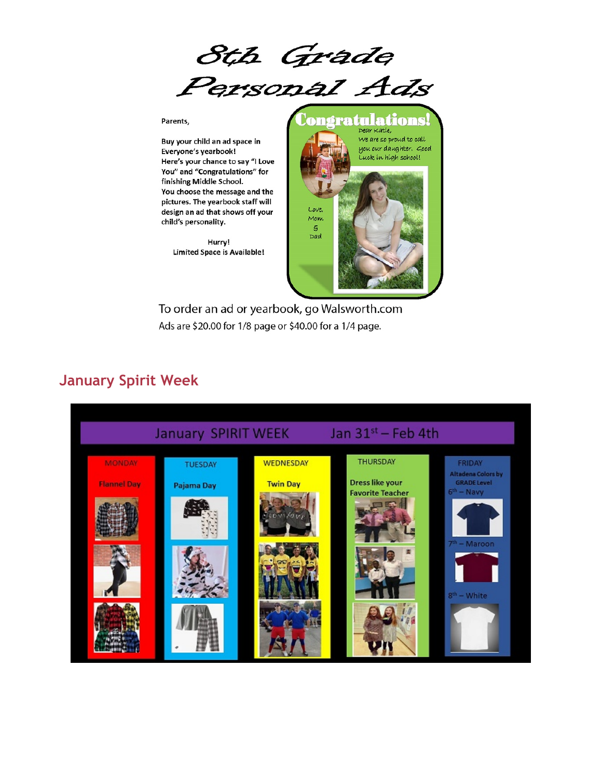8th Grade<br>Personal Ads

#### Parents,

Buy your child an ad space in Everyone's yearbook! Here's your chance to say "I Love You" and "Congratulations" for finishing Middle School. You choose the message and the pictures. The yearbook staff will design an ad that shows off your child's personality.

> Hurry! **Limited Space is Available!**



To order an ad or yearbook, go Walsworth.com Ads are \$20.00 for 1/8 page or \$40.00 for a 1/4 page.

#### **January Spirit Week**

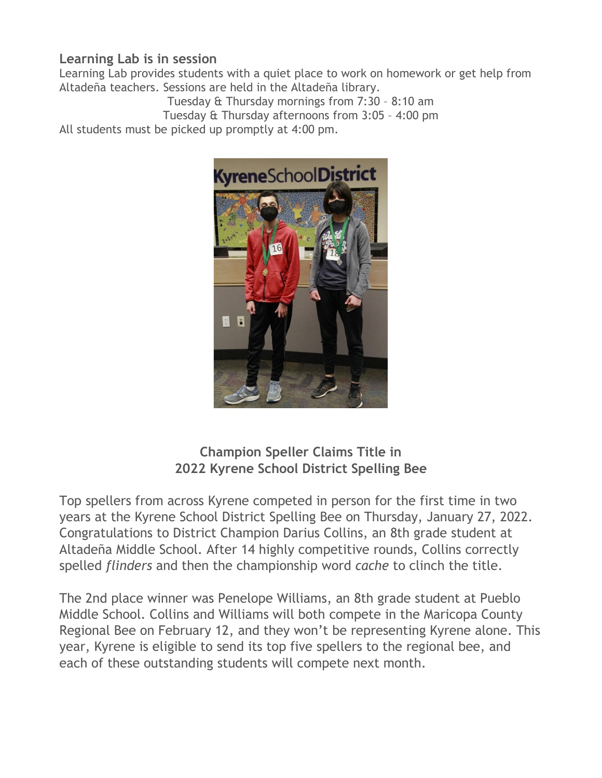#### **Learning Lab is in session**

Learning Lab provides students with a quiet place to work on homework or get help from Altadeña teachers. Sessions are held in the Altadeña library.

Tuesday & Thursday mornings from 7:30 – 8:10 am Tuesday & Thursday afternoons from 3:05 – 4:00 pm All students must be picked up promptly at 4:00 pm.



### **Champion Speller Claims Title in 2022 Kyrene School District Spelling Bee**

Top spellers from across Kyrene competed in person for the first time in two years at the Kyrene School District Spelling Bee on Thursday, January 27, 2022. Congratulations to District Champion Darius Collins, an 8th grade student at Altadeña Middle School. After 14 highly competitive rounds, Collins correctly spelled *flinders* and then the championship word *cache* to clinch the title.

The 2nd place winner was Penelope Williams, an 8th grade student at Pueblo Middle School. Collins and Williams will both compete in the Maricopa County Regional Bee on February 12, and they won't be representing Kyrene alone. This year, Kyrene is eligible to send its top five spellers to the regional bee, and each of these outstanding students will compete next month.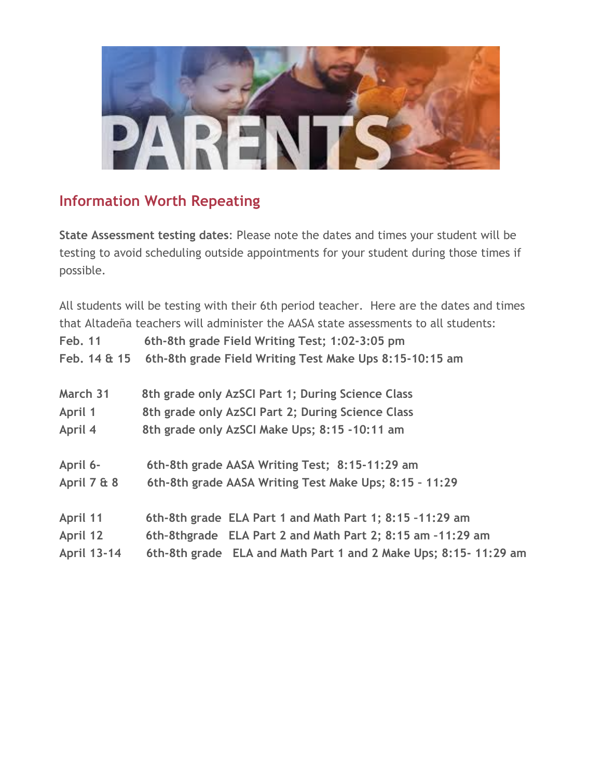

# **Information Worth Repeating**

**State Assessment testing dates**: Please note the dates and times your student will be testing to avoid scheduling outside appointments for your student during those times if possible.

All students will be testing with their 6th period teacher. Here are the dates and times that Altadeña teachers will administer the AASA state assessments to all students: **Feb. 11 6th-8th grade Field Writing Test; 1:02-3:05 pm Feb. 14 & 15 6th-8th grade Field Writing Test Make Ups 8:15-10:15 am March 31 8th grade only AzSCI Part 1; During Science Class April 1 8th grade only AzSCI Part 2; During Science Class April 4 8th grade only AzSCI Make Ups; 8:15 -10:11 am April 6- 6th-8th grade AASA Writing Test; 8:15-11:29 am April 7 & 8 6th-8th grade AASA Writing Test Make Ups; 8:15 – 11:29 April 11 6th-8th grade ELA Part 1 and Math Part 1; 8:15 –11:29 am April 12 6th–8thgrade ELA Part 2 and Math Part 2; 8:15 am –11:29 am April 13-14 6th-8th grade ELA and Math Part 1 and 2 Make Ups; 8:15- 11:29 am**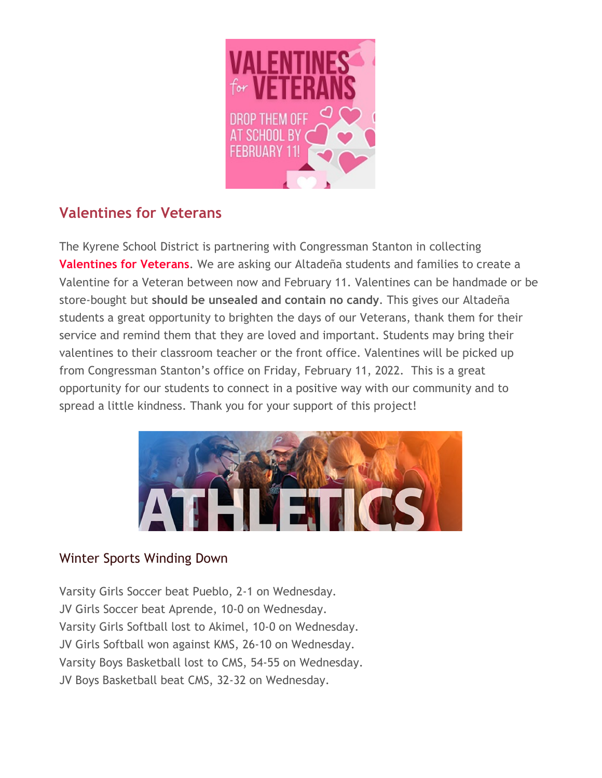

# **Valentines for Veterans**

The Kyrene School District is partnering with Congressman Stanton in collecting **Valentines for Veterans**. We are asking our Altadeña students and families to create a Valentine for a Veteran between now and February 11. Valentines can be handmade or be store-bought but **should be unsealed and contain no candy**. This gives our Altadeña students a great opportunity to brighten the days of our Veterans, thank them for their service and remind them that they are loved and important. Students may bring their valentines to their classroom teacher or the front office. Valentines will be picked up from Congressman Stanton's office on Friday, February 11, 2022. This is a great opportunity for our students to connect in a positive way with our community and to spread a little kindness. Thank you for your support of this project!



#### Winter Sports Winding Down

Varsity Girls Soccer beat Pueblo, 2-1 on Wednesday. JV Girls Soccer beat Aprende, 10-0 on Wednesday. Varsity Girls Softball lost to Akimel, 10-0 on Wednesday. JV Girls Softball won against KMS, 26-10 on Wednesday. Varsity Boys Basketball lost to CMS, 54-55 on Wednesday. JV Boys Basketball beat CMS, 32-32 on Wednesday.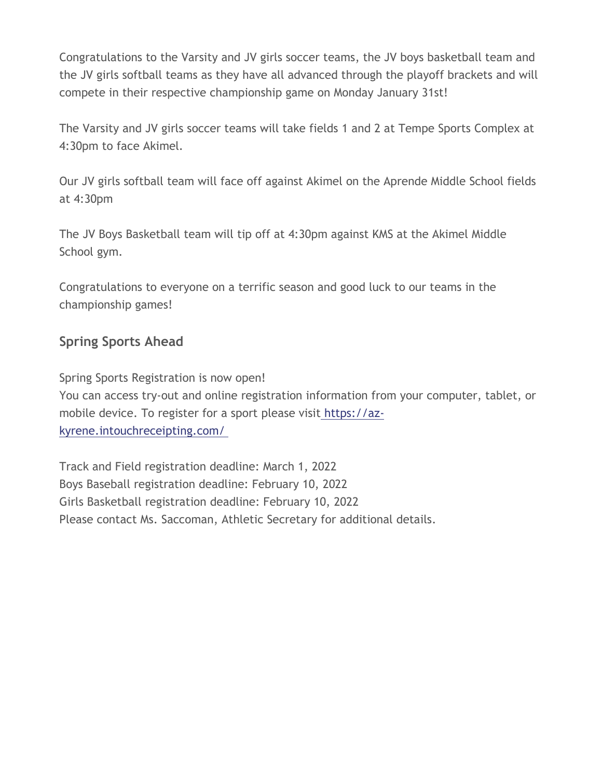Congratulations to the Varsity and JV girls soccer teams, the JV boys basketball team and the JV girls softball teams as they have all advanced through the playoff brackets and will compete in their respective championship game on Monday January 31st!

The Varsity and JV girls soccer teams will take fields 1 and 2 at Tempe Sports Complex at 4:30pm to face Akimel.

Our JV girls softball team will face off against Akimel on the Aprende Middle School fields at 4:30pm

The JV Boys Basketball team will tip off at 4:30pm against KMS at the Akimel Middle School gym.

Congratulations to everyone on a terrific season and good luck to our teams in the championship games!

## **Spring Sports Ahead**

Spring Sports Registration is now open! You can access try-out and online registration information from your computer, tablet, or mobile device. To register for a sport please visit [https://az-](http://track.spe.schoolmessenger.com/f/a/BfMvaitckObTpczytMTkMw%7E%7E/AAAAAQA%7E/RgRj1ad7P0QoaHR0cHM6Ly9hei1reXJlbmUuaW50b3VjaHJlY2VpcHRpbmcuY29tL1cHc2Nob29sbUIKYeX7c_Rh9Y3mU1IQc3JhdGhAa3lyZW5lLm9yZ1gEAAAAAQ%7E%7E)

[kyrene.intouchreceipting.com/](http://track.spe.schoolmessenger.com/f/a/BfMvaitckObTpczytMTkMw%7E%7E/AAAAAQA%7E/RgRj1ad7P0QoaHR0cHM6Ly9hei1reXJlbmUuaW50b3VjaHJlY2VpcHRpbmcuY29tL1cHc2Nob29sbUIKYeX7c_Rh9Y3mU1IQc3JhdGhAa3lyZW5lLm9yZ1gEAAAAAQ%7E%7E)

Track and Field registration deadline: March 1, 2022 Boys Baseball registration deadline: February 10, 2022 Girls Basketball registration deadline: February 10, 2022 Please contact Ms. Saccoman, Athletic Secretary for additional details.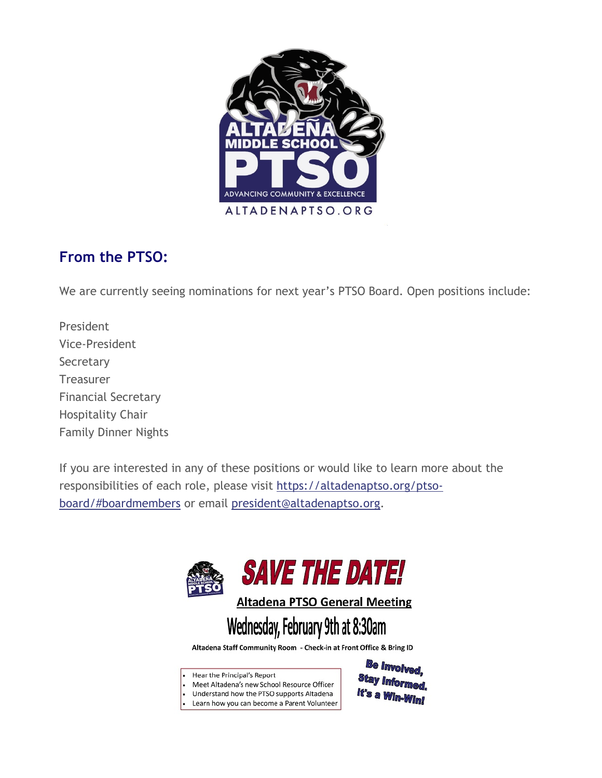

# **From the PTSO:**

We are currently seeing nominations for next year's PTSO Board. Open positions include:

President Vice-President **Secretary** Treasurer Financial Secretary Hospitality Chair Family Dinner Nights

If you are interested in any of these positions or would like to learn more about the responsibilities of each role, please visit [https://altadenaptso.org/ptso](http://track.spe.schoolmessenger.com/f/a/6tM747Sx7eN6vAAGjYFphQ%7E%7E/AAAAAQA%7E/RgRj1ad7P0QxaHR0cHM6Ly9hbHRhZGVuYXB0c28ub3JnL3B0c28tYm9hcmQvI2JvYXJkbWVtYmVyc1cHc2Nob29sbUIKYeX7c_Rh9Y3mU1IQc3JhdGhAa3lyZW5lLm9yZ1gEAAAAAQ%7E%7E)[board/#boardmembers](http://track.spe.schoolmessenger.com/f/a/6tM747Sx7eN6vAAGjYFphQ%7E%7E/AAAAAQA%7E/RgRj1ad7P0QxaHR0cHM6Ly9hbHRhZGVuYXB0c28ub3JnL3B0c28tYm9hcmQvI2JvYXJkbWVtYmVyc1cHc2Nob29sbUIKYeX7c_Rh9Y3mU1IQc3JhdGhAa3lyZW5lLm9yZ1gEAAAAAQ%7E%7E) or email [president@altadenaptso.org.](mailto:president@altadenaptso.org)



**Altadena PTSO General Meeting** 

# Wednesday, February 9th at 8:30am

Altadena Staff Community Room - Check-in at Front Office & Bring ID

Hear the Principal's Report

Meet Altadena's new School Resource Officer

ı. Understand how the PTSO supports Altadena

Learn how you can become a Parent Volunteer

Be Involved, **Stay Informed** It's a Win-Win!